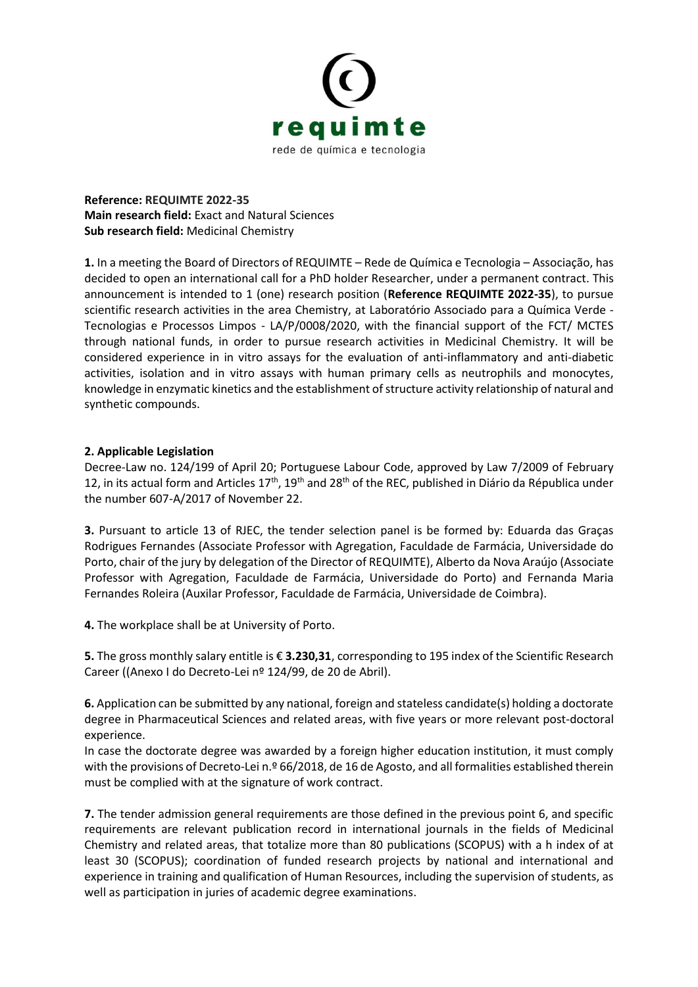

**Reference: REQUIMTE 2022-35 Main research field:** Exact and Natural Sciences **Sub research field:** Medicinal Chemistry

**1.** In a meeting the Board of Directors of REQUIMTE – Rede de Química e Tecnologia – Associação, has decided to open an international call for a PhD holder Researcher, under a permanent contract. This announcement is intended to 1 (one) research position (**Reference REQUIMTE 2022-35**), to pursue scientific research activities in the area Chemistry, at Laboratório Associado para a Química Verde - Tecnologias e Processos Limpos - LA/P/0008/2020, with the financial support of the FCT/ MCTES through national funds, in order to pursue research activities in Medicinal Chemistry. It will be considered experience in in vitro assays for the evaluation of anti-inflammatory and anti-diabetic activities, isolation and in vitro assays with human primary cells as neutrophils and monocytes, knowledge in enzymatic kinetics and the establishment of structure activity relationship of natural and synthetic compounds.

## **2. Applicable Legislation**

Decree-Law no. 124/199 of April 20; Portuguese Labour Code, approved by Law 7/2009 of February 12, in its actual form and Articles  $17<sup>th</sup>$ ,  $19<sup>th</sup>$  and  $28<sup>th</sup>$  of the REC, published in Diário da Républica under the number 607-A/2017 of November 22.

**3.** Pursuant to article 13 of RJEC, the tender selection panel is be formed by: Eduarda das Graças Rodrigues Fernandes (Associate Professor with Agregation, Faculdade de Farmácia, Universidade do Porto, chair of the jury by delegation of the Director of REQUIMTE), Alberto da Nova Araújo (Associate Professor with Agregation, Faculdade de Farmácia, Universidade do Porto) and Fernanda Maria Fernandes Roleira (Auxilar Professor, Faculdade de Farmácia, Universidade de Coimbra).

**4.** The workplace shall be at University of Porto.

**5.** The gross monthly salary entitle is € **3.230,31**, corresponding to 195 index of the Scientific Research Career ((Anexo I do Decreto-Lei nº 124/99, de 20 de Abril).

**6.** Application can be submitted by any national, foreign and stateless candidate(s) holding a doctorate degree in Pharmaceutical Sciences and related areas, with five years or more relevant post-doctoral experience.

In case the doctorate degree was awarded by a foreign higher education institution, it must comply with the provisions of Decreto-Lei n.º 66/2018, de 16 de Agosto, and all formalities established therein must be complied with at the signature of work contract.

**7.** The tender admission general requirements are those defined in the previous point 6, and specific requirements are relevant publication record in international journals in the fields of Medicinal Chemistry and related areas, that totalize more than 80 publications (SCOPUS) with a h index of at least 30 (SCOPUS); coordination of funded research projects by national and international and experience in training and qualification of Human Resources, including the supervision of students, as well as participation in juries of academic degree examinations.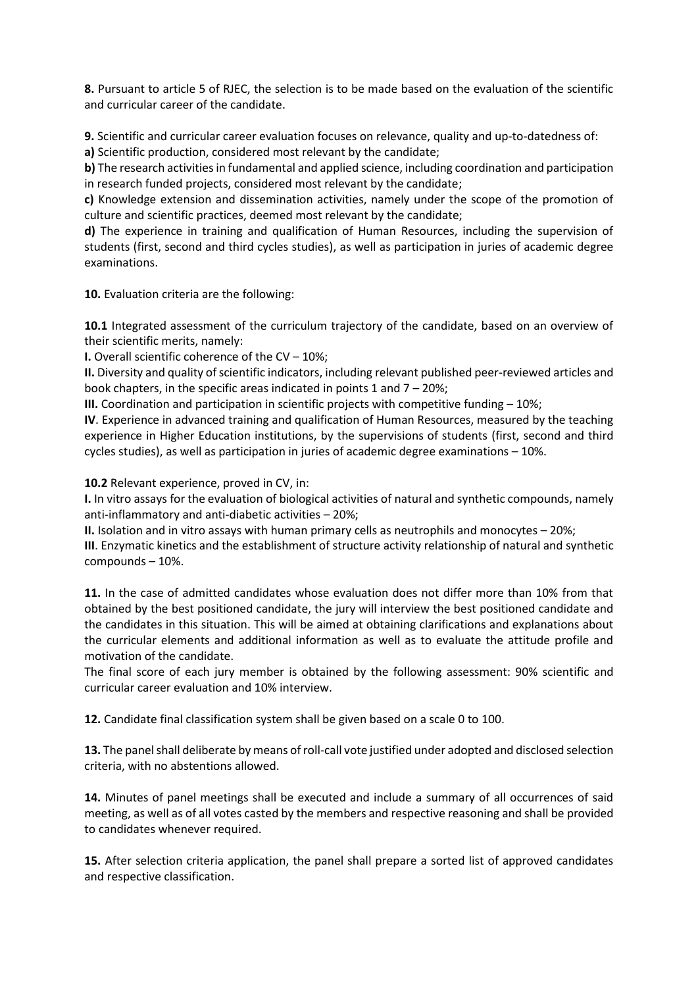**8.** Pursuant to article 5 of RJEC, the selection is to be made based on the evaluation of the scientific and curricular career of the candidate.

**9.** Scientific and curricular career evaluation focuses on relevance, quality and up-to-datedness of:

**a)** Scientific production, considered most relevant by the candidate;

**b)** The research activities in fundamental and applied science, including coordination and participation in research funded projects, considered most relevant by the candidate;

**c)** Knowledge extension and dissemination activities, namely under the scope of the promotion of culture and scientific practices, deemed most relevant by the candidate;

**d)** The experience in training and qualification of Human Resources, including the supervision of students (first, second and third cycles studies), as well as participation in juries of academic degree examinations.

**10.** Evaluation criteria are the following:

**10.1** Integrated assessment of the curriculum trajectory of the candidate, based on an overview of their scientific merits, namely:

**I.** Overall scientific coherence of the CV – 10%;

**II.** Diversity and quality of scientific indicators, including relevant published peer-reviewed articles and book chapters, in the specific areas indicated in points 1 and  $7 - 20\%$ ;

**III.** Coordination and participation in scientific projects with competitive funding – 10%;

**IV**. Experience in advanced training and qualification of Human Resources, measured by the teaching experience in Higher Education institutions, by the supervisions of students (first, second and third cycles studies), as well as participation in juries of academic degree examinations – 10%.

**10.2** Relevant experience, proved in CV, in:

**I.** In vitro assays for the evaluation of biological activities of natural and synthetic compounds, namely anti-inflammatory and anti-diabetic activities – 20%;

**II.** Isolation and in vitro assays with human primary cells as neutrophils and monocytes – 20%;

**III**. Enzymatic kinetics and the establishment of structure activity relationship of natural and synthetic compounds – 10%.

**11.** In the case of admitted candidates whose evaluation does not differ more than 10% from that obtained by the best positioned candidate, the jury will interview the best positioned candidate and the candidates in this situation. This will be aimed at obtaining clarifications and explanations about the curricular elements and additional information as well as to evaluate the attitude profile and motivation of the candidate.

The final score of each jury member is obtained by the following assessment: 90% scientific and curricular career evaluation and 10% interview.

**12.** Candidate final classification system shall be given based on a scale 0 to 100.

**13.** The panel shall deliberate by means of roll-call vote justified under adopted and disclosed selection criteria, with no abstentions allowed.

**14.** Minutes of panel meetings shall be executed and include a summary of all occurrences of said meeting, as well as of all votes casted by the members and respective reasoning and shall be provided to candidates whenever required.

**15.** After selection criteria application, the panel shall prepare a sorted list of approved candidates and respective classification.